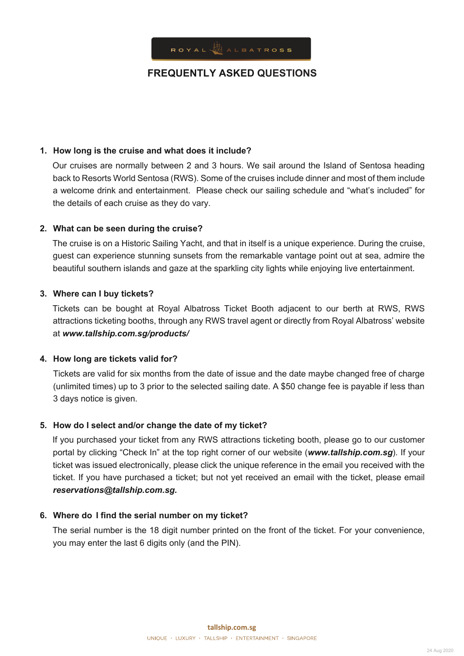

## **1. How long is the cruise and what does it include?**

Our cruises are normally between 2 and 3 hours. We sail around the Island of Sentosa heading back to Resorts World Sentosa (RWS). Some of the cruises include dinner and most of them include a welcome drink and entertainment. Please check our sailing schedule and "what's included" for the details of each cruise as they do vary.

## **2. What can be seen during the cruise?**

The cruise is on a Historic Sailing Yacht, and that in itself is a unique experience. During the cruise, guest can experience stunning sunsets from the remarkable vantage point out at sea, admire the beautiful southern islands and gaze at the sparkling city lights while enjoying live entertainment.

## **3. Where can I buy tickets?**

Tickets can be bought at Royal Albatross Ticket Booth adjacent to our berth at RWS, RWS attractions ticketing booths, through any RWS travel agent or directly from Royal Albatross' website at *www.tallship.com.sg/products/*

## **4. How long are tickets valid for?**

Tickets are valid for six months from the date of issue and the date maybe changed free of charge (unlimited times) up to 3 prior to the selected sailing date. A \$50 change fee is payable if less than 3 days notice is given.

# **5. How do I select and/or change the date of my ticket?**

If you purchased your ticket from any RWS attractions ticketing booth, please go to our customer portal by clicking "Check In" at the top right corner of our website (*www.tallship.com.sg*). If your ticket was issued electronically, please click the unique reference in the email you received with the ticket. If you have purchased a ticket; but not yet received an email with the ticket, please email *reservations@tallship.com.sg.*

## **6. Where do I find the serial number on my ticket?**

The serial number is the 18 digit number printed on the front of the ticket. For your convenience, you may enter the last 6 digits only (and the PIN).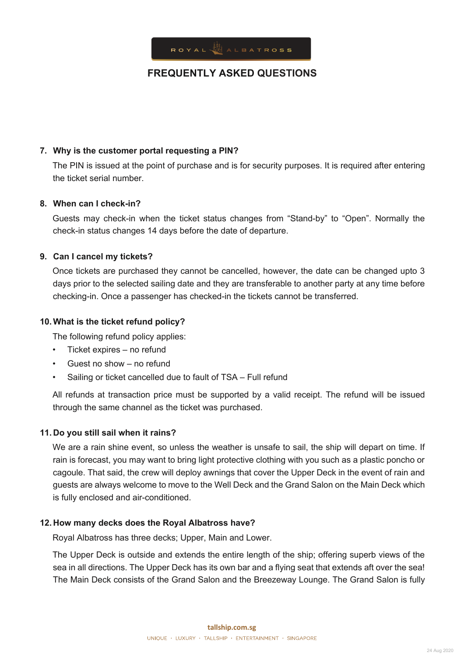

## **7. Why is the customer portal requesting a PIN?**

The PIN is issued at the point of purchase and is for security purposes. It is required after entering the ticket serial number.

## **8. When can I check-in?**

Guests may check-in when the ticket status changes from "Stand-by" to "Open". Normally the check-in status changes 14 days before the date of departure.

## **9. Can I cancel my tickets?**

Once tickets are purchased they cannot be cancelled, however, the date can be changed upto 3 days prior to the selected sailing date and they are transferable to another party at any time before checking-in. Once a passenger has checked-in the tickets cannot be transferred.

## **10.What is the ticket refund policy?**

The following refund policy applies:

- Ticket expires no refund
- Guest no show no refund
- Sailing or ticket cancelled due to fault of TSA Full refund

All refunds at transaction price must be supported by a valid receipt. The refund will be issued through the same channel as the ticket was purchased.

## **11. Do you still sail when it rains?**

We are a rain shine event, so unless the weather is unsafe to sail, the ship will depart on time. If rain is forecast, you may want to bring light protective clothing with you such as a plastic poncho or cagoule. That said, the crew will deploy awnings that cover the Upper Deck in the event of rain and guests are always welcome to move to the Well Deck and the Grand Salon on the Main Deck which is fully enclosed and air-conditioned.

## **12. How many decks does the Royal Albatross have?**

Royal Albatross has three decks; Upper, Main and Lower.

The Upper Deck is outside and extends the entire length of the ship; offering superb views of the sea in all directions. The Upper Deck has its own bar and a flying seat that extends aft over the sea! The Main Deck consists of the Grand Salon and the Breezeway Lounge. The Grand Salon is fully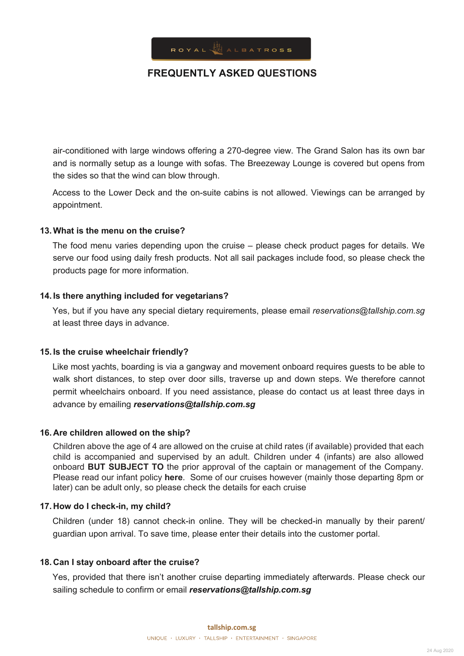

air-conditioned with large windows offering a 270-degree view. The Grand Salon has its own bar and is normally setup as a lounge with sofas. The Breezeway Lounge is covered but opens from the sides so that the wind can blow through.

Access to the Lower Deck and the on-suite cabins is not allowed. Viewings can be arranged by appointment.

## **13.What is the menu on the cruise?**

The food menu varies depending upon the cruise – please check product pages for details. We serve our food using daily fresh products. Not all sail packages include food, so please check the products page for more information.

#### **14. Is there anything included for vegetarians?**

Yes, but if you have any special dietary requirements, please email *reservations@tallship.com.sg* at least three days in advance.

## **15. Is the cruise wheelchair friendly?**

Like most yachts, boarding is via a gangway and movement onboard requires guests to be able to walk short distances, to step over door sills, traverse up and down steps. We therefore cannot permit wheelchairs onboard. If you need assistance, please do contact us at least three days in advance by emailing *reservations@tallship.com.sg*

#### **16. Are children allowed on the ship?**

Children above the age of 4 are allowed on the cruise at child rates (if available) provided that each child is accompanied and supervised by an adult. Children under 4 (infants) are also allowed onboard **BUT SUBJECT TO** the prior approval of the captain or management of the Company. Please read our infant policy **[here](https://www.tallship.com.sg/TC/infant-policy-v1.pdf)**. Some of our cruises however (mainly those departing 8pm or later) can be adult only, so please check the details for each cruise

#### **17. How do I check-in, my child?**

Children (under 18) cannot check-in online. They will be checked-in manually by their parent/ guardian upon arrival. To save time, please enter their details into the customer portal.

#### **18. Can I stay onboard after the cruise?**

Yes, provided that there isn't another cruise departing immediately afterwards. Please check our sailing schedule to confirm or email *reservations@tallship.com.sg*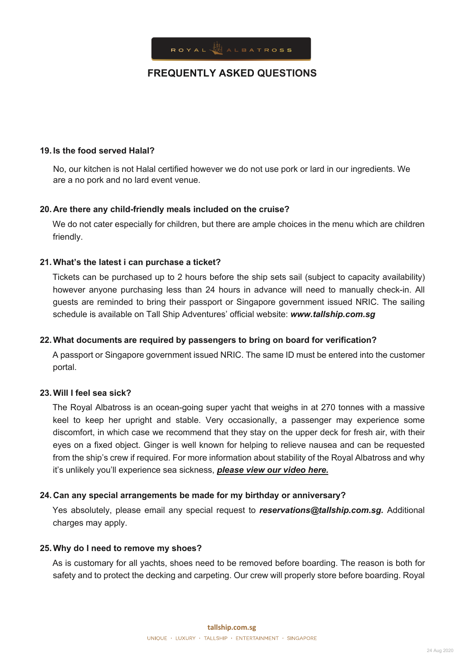

#### **19. Is the food served Halal?**

No, our kitchen is not Halal certified however we do not use pork or lard in our ingredients. We are a no pork and no lard event venue.

#### **20. Are there any child-friendly meals included on the cruise?**

We do not cater especially for children, but there are ample choices in the menu which are children friendly.

#### **21.What's the latest i can purchase a ticket?**

Tickets can be purchased up to 2 hours before the ship sets sail (subject to capacity availability) however anyone purchasing less than 24 hours in advance will need to manually check-in. All guests are reminded to bring their passport or Singapore government issued NRIC. The sailing schedule is available on Tall Ship Adventures' official website: *www.tallship.com.sg*

#### **22.What documents are required by passengers to bring on board for verification?**

A passport or Singapore government issued NRIC. The same ID must be entered into the customer portal.

#### **23.Will I feel sea sick?**

The Royal Albatross is an ocean-going super yacht that weighs in at 270 tonnes with a massive keel to keep her upright and stable. Very occasionally, a passenger may experience some discomfort, in which case we recommend that they stay on the upper deck for fresh air, with their eyes on a fixed object. Ginger is well known for helping to relieve nausea and can be requested from the ship's crew if required. For more information about stability of the Royal Albatross and why it's unlikely you'll experience sea sickness, *please view our video here.*

#### **24. Can any special arrangements be made for my birthday or anniversary?**

Yes absolutely, please email any special request to *reservations@tallship.com.sg.* Additional charges may apply.

#### **25.Why do I need to remove my shoes?**

As is customary for all yachts, shoes need to be removed before boarding. The reason is both for safety and to protect the decking and carpeting. Our crew will properly store before boarding. Royal